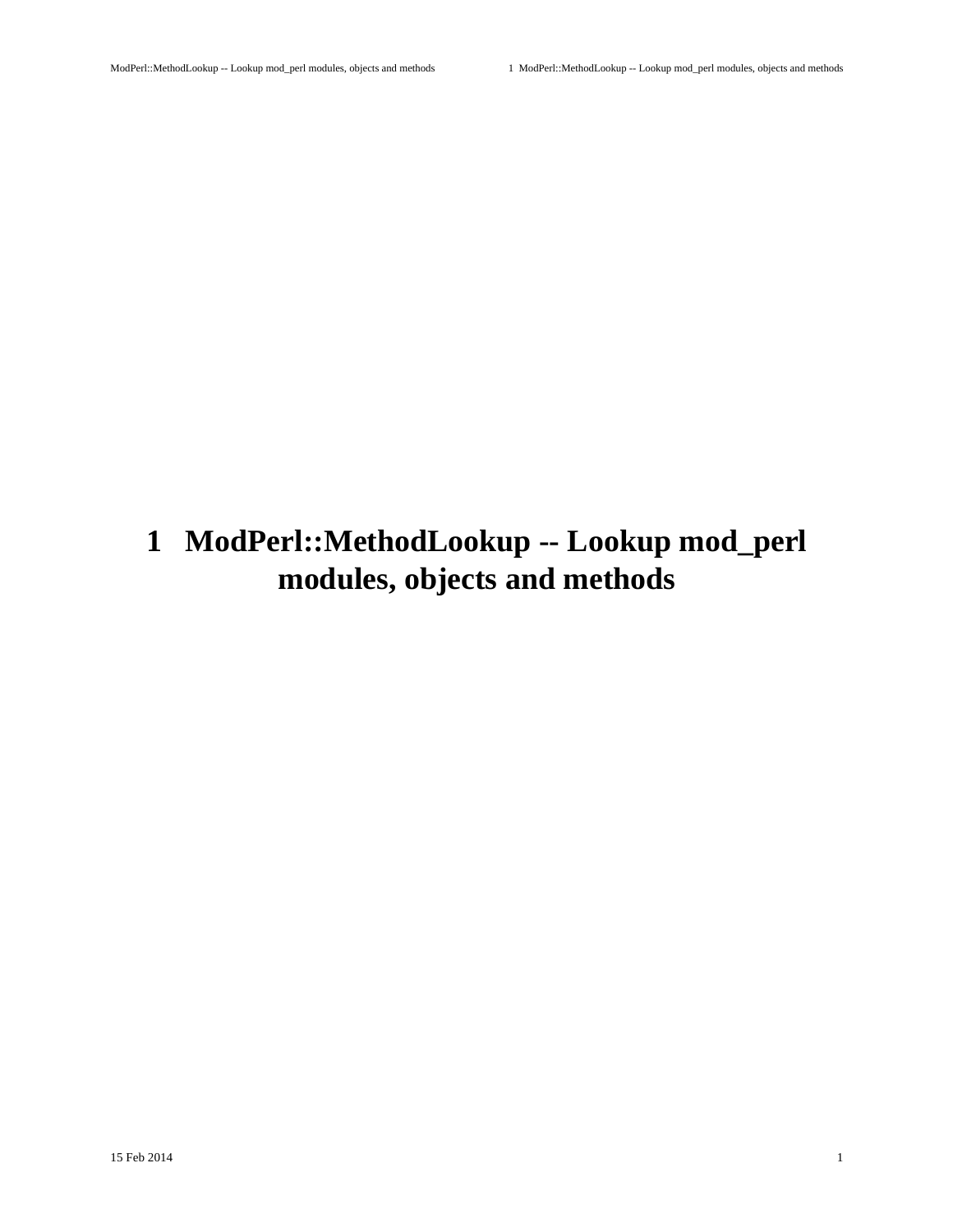# <span id="page-0-0"></span>**1 ModPerl::MethodLookup -- Lookup mod\_perl modules, objects and methods**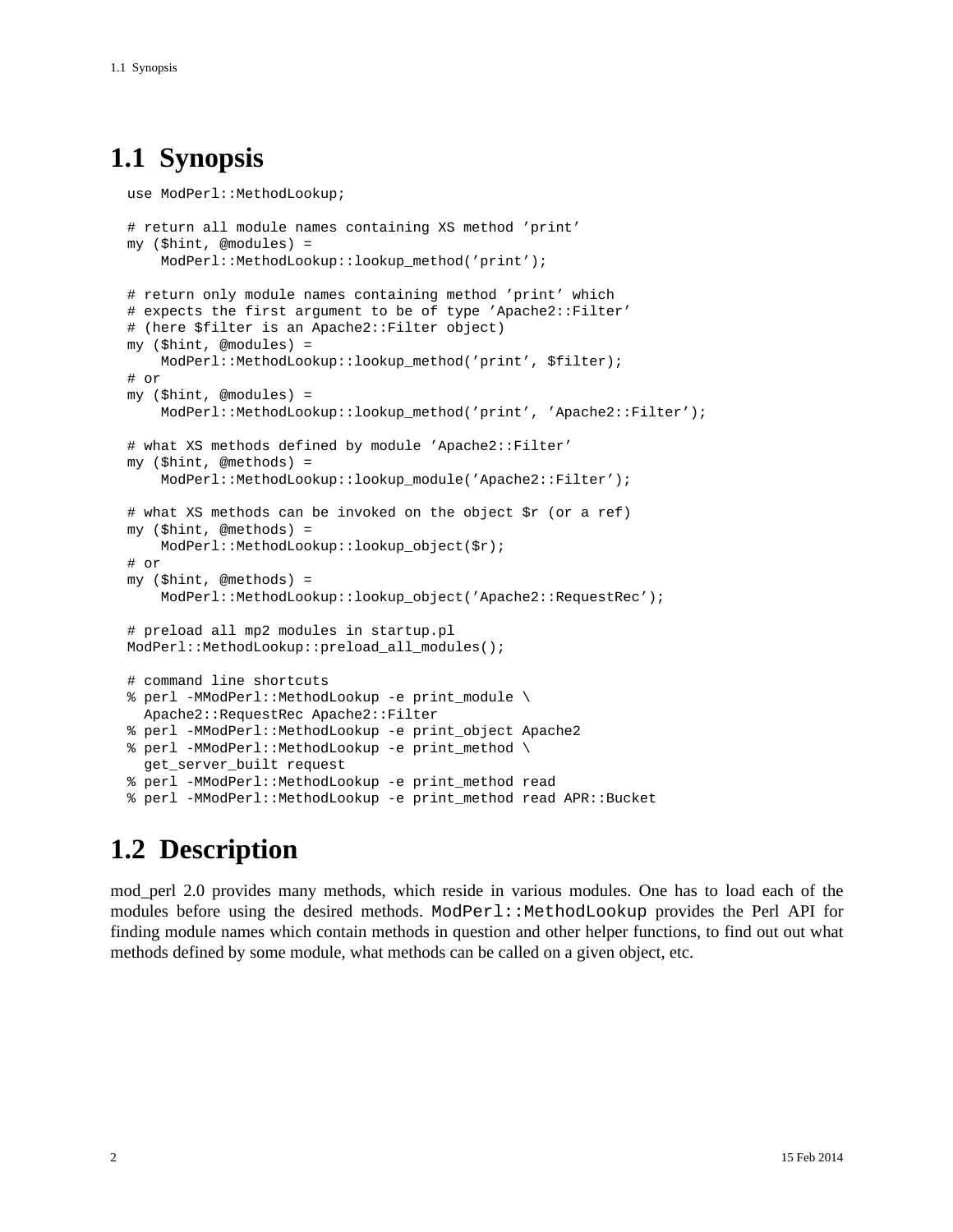## <span id="page-1-0"></span>**1.1 Synopsis**

```
use ModPerl::MethodLookup;
# return all module names containing XS method 'print'
 my ($hint, @modules) =
     ModPerl::MethodLookup::lookup_method('print');
 # return only module names containing method 'print' which
 # expects the first argument to be of type 'Apache2::Filter'
 # (here $filter is an Apache2::Filter object)
 my ($hint, @modules) =
     ModPerl::MethodLookup::lookup_method('print', $filter);
 # or
 my ($hint, @modules) =
     ModPerl::MethodLookup::lookup_method('print', 'Apache2::Filter');
 # what XS methods defined by module 'Apache2::Filter'
 my ($hint, @methods) =
     ModPerl::MethodLookup::lookup_module('Apache2::Filter');
 # what XS methods can be invoked on the object $r (or a ref)
 my ($hint, @methods) =
    ModPerl::MethodLookup::lookup_object($r);
 # or
 my ($hint, @methods) =
     ModPerl::MethodLookup::lookup_object('Apache2::RequestRec');
 # preload all mp2 modules in startup.pl
 ModPerl::MethodLookup::preload_all_modules();
 # command line shortcuts
 % perl -MModPerl::MethodLookup -e print_module \
   Apache2::RequestRec Apache2::Filter
 % perl -MModPerl::MethodLookup -e print_object Apache2
 % perl -MModPerl::MethodLookup -e print_method \
   get_server_built request
 % perl -MModPerl::MethodLookup -e print_method read
 % perl -MModPerl::MethodLookup -e print_method read APR::Bucket
```
## <span id="page-1-1"></span>**1.2 Description**

mod\_perl 2.0 provides many methods, which reside in various modules. One has to load each of the modules before using the desired methods. ModPerl::MethodLookup provides the Perl API for finding module names which contain methods in question and other helper functions, to find out out what methods defined by some module, what methods can be called on a given object, etc.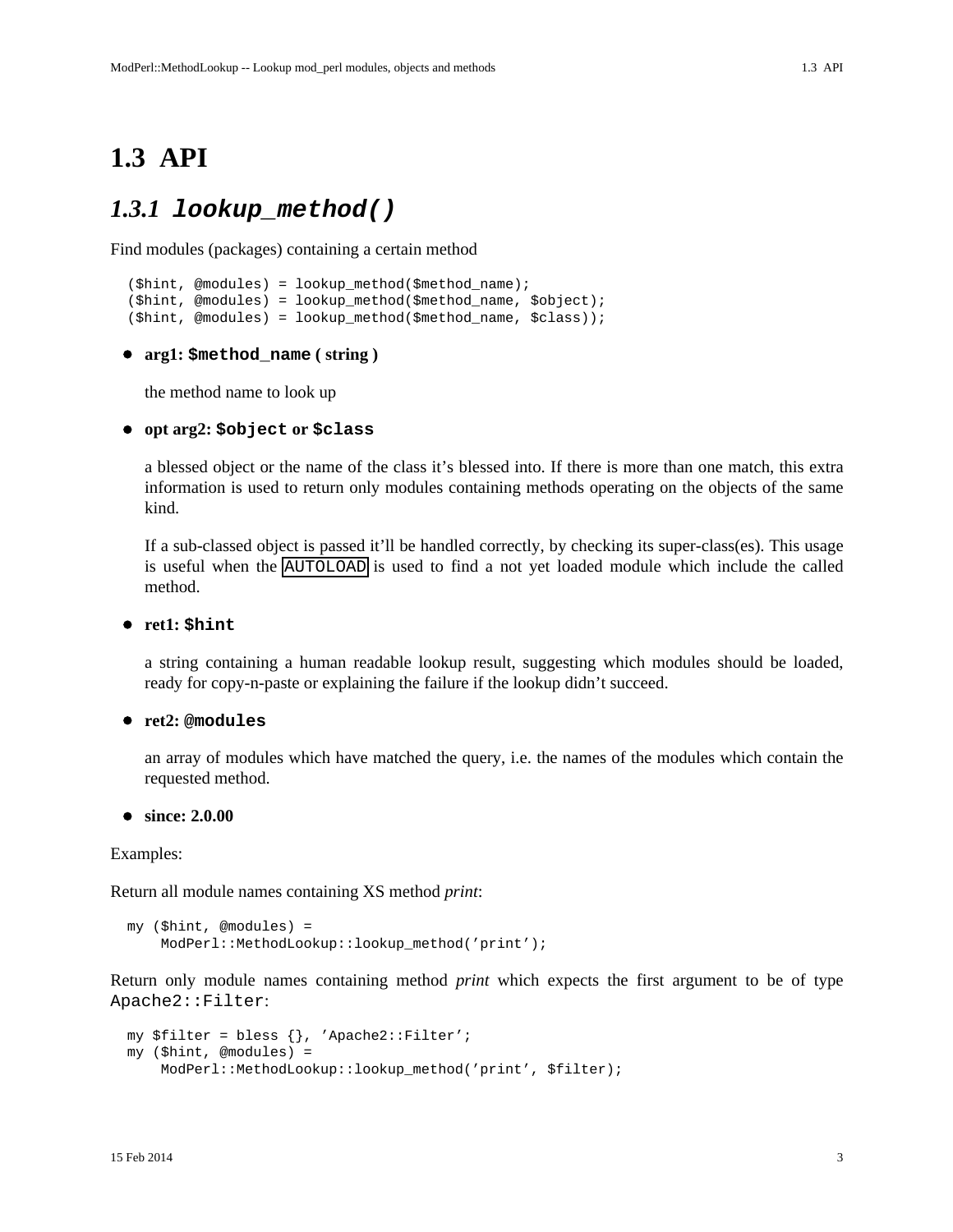### <span id="page-2-1"></span><span id="page-2-0"></span>*1.3.1* **lookup\_method()**

Find modules (packages) containing a certain method

```
 ($hint, @modules) = lookup_method($method_name);
 ($hint, @modules) = lookup_method($method_name, $object);
 ($hint, @modules) = lookup_method($method_name, $class));
```
#### **arg1: \$method\_name ( string )**

the method name to look up

#### **opt arg2: \$object or \$class**

a blessed object or the name of the class it's blessed into. If there is more than one match, this extra information is used to return only modules containing methods operating on the objects of the same kind.

If a sub-classed object is passed it'll be handled correctly, by checking its super-class(es). This usage is useful when the AUTOLOAD is used to find a not yet loaded module which include the called method.

**ret1: \$hint**

a string containing a human readable lookup result, suggesting which modules should be loaded, ready for copy-n-paste or explaining the failure if the lookup didn't succeed.

#### **ret2: @modules**

an array of modules which have matched the query, i.e. the names of the modules which contain the requested method.

#### **since: 2.0.00**

Examples:

Return all module names containing XS method *print*:

```
 my ($hint, @modules) =
     ModPerl::MethodLookup::lookup_method('print');
```
Return only module names containing method *print* which expects the first argument to be of type Apache2::Filter:

```
 my $filter = bless {}, 'Apache2::Filter';
 my ($hint, @modules) =
     ModPerl::MethodLookup::lookup_method('print', $filter);
```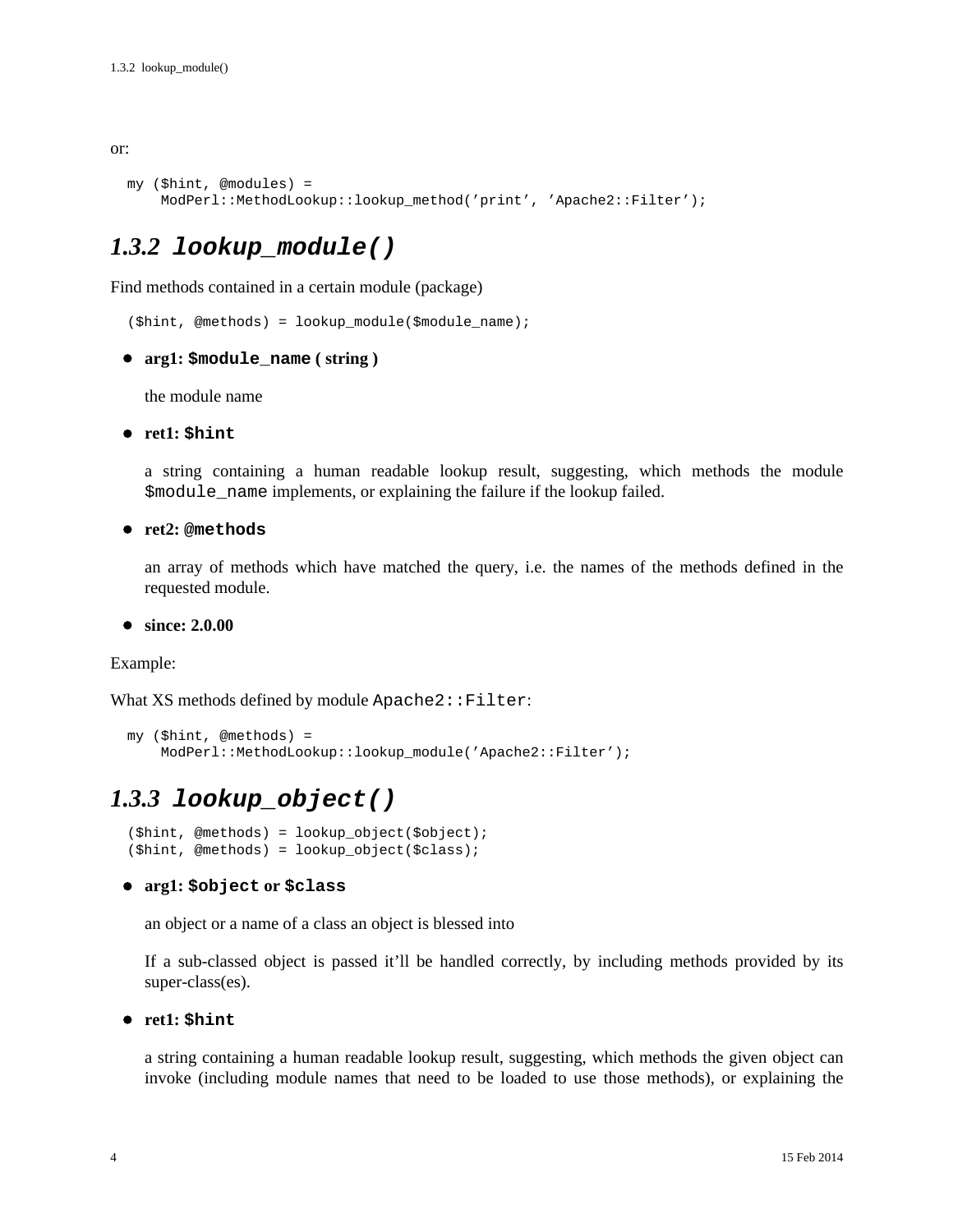#### or:

```
 my ($hint, @modules) =
     ModPerl::MethodLookup::lookup_method('print', 'Apache2::Filter');
```
### <span id="page-3-0"></span>*1.3.2* **lookup\_module()**

Find methods contained in a certain module (package)

(\$hint, @methods) = lookup\_module(\$module\_name);

**arg1: \$module\_name ( string )**

the module name

**ret1: \$hint**

a string containing a human readable lookup result, suggesting, which methods the module \$module\_name implements, or explaining the failure if the lookup failed.

**ret2: @methods**

an array of methods which have matched the query, i.e. the names of the methods defined in the requested module.

**since: 2.0.00**

Example:

What  $XS$  methods defined by module  $\texttt{Apacket2}:Filter:$ 

```
 my ($hint, @methods) =
     ModPerl::MethodLookup::lookup_module('Apache2::Filter');
```
### <span id="page-3-1"></span>*1.3.3* **lookup\_object()**

```
 ($hint, @methods) = lookup_object($object);
(\text{shift}, \text{Qmethods}) = \text{lookup object}(\text{Sclass});
```
#### **arg1: \$object or \$class**

an object or a name of a class an object is blessed into

If a sub-classed object is passed it'll be handled correctly, by including methods provided by its super-class(es).

#### **ret1: \$hint**

a string containing a human readable lookup result, suggesting, which methods the given object can invoke (including module names that need to be loaded to use those methods), or explaining the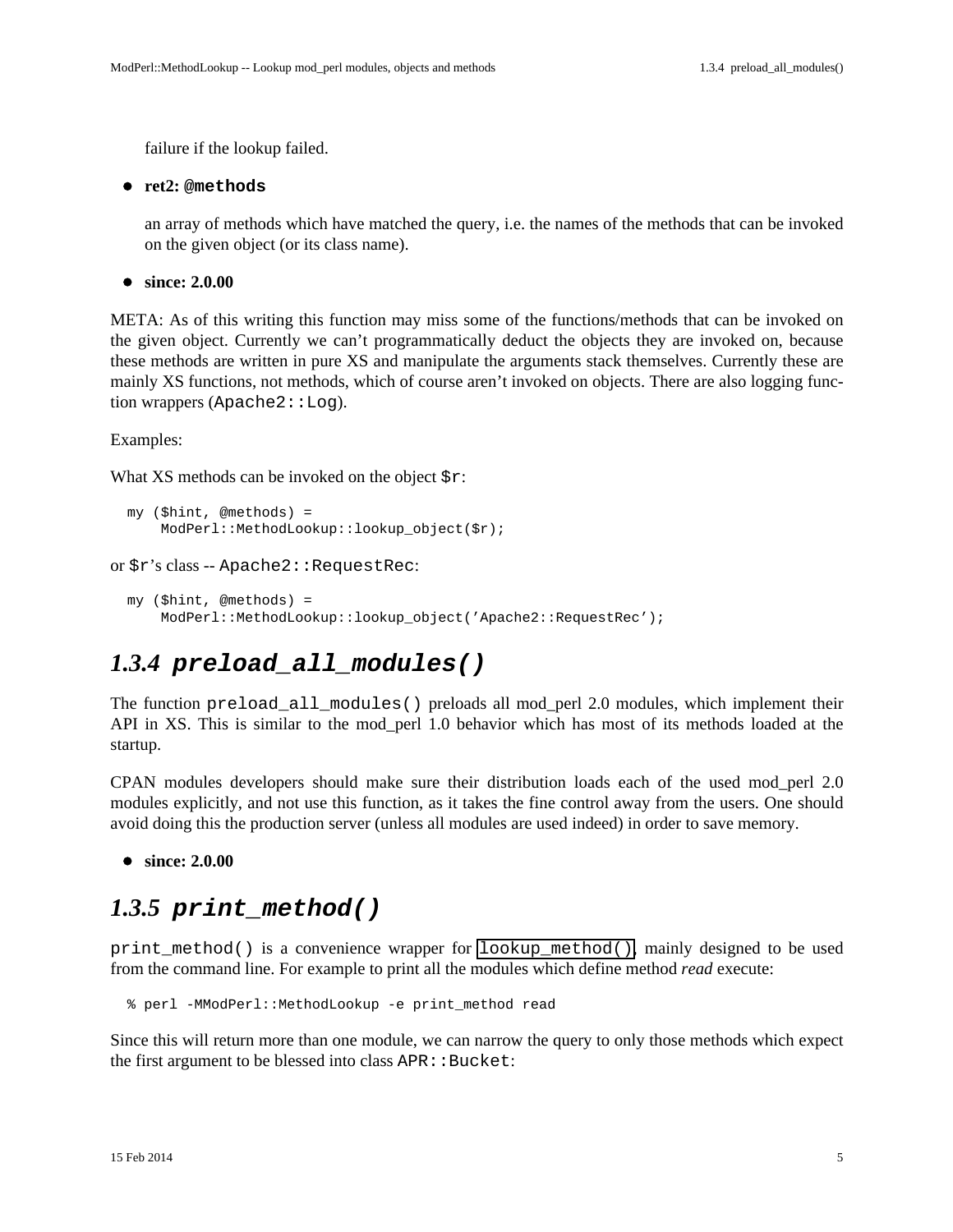failure if the lookup failed.

#### **ret2: @methods**

an array of methods which have matched the query, i.e. the names of the methods that can be invoked on the given object (or its class name).

**since: 2.0.00**

META: As of this writing this function may miss some of the functions/methods that can be invoked on the given object. Currently we can't programmatically deduct the objects they are invoked on, because these methods are written in pure XS and manipulate the arguments stack themselves. Currently these are mainly XS functions, not methods, which of course aren't invoked on objects. There are also logging function wrappers (Apache2::Log).

Examples:

What XS methods can be invoked on the object  $\zeta r$ :

```
 my ($hint, @methods) =
     ModPerl::MethodLookup::lookup_object($r);
```
or \$r's class -- Apache2::RequestRec:

```
 my ($hint, @methods) =
     ModPerl::MethodLookup::lookup_object('Apache2::RequestRec');
```
### <span id="page-4-0"></span>*1.3.4* **preload\_all\_modules()**

The function preload\_all\_modules() preloads all mod\_perl 2.0 modules, which implement their API in XS. This is similar to the mod\_perl 1.0 behavior which has most of its methods loaded at the startup.

CPAN modules developers should make sure their distribution loads each of the used mod\_perl 2.0 modules explicitly, and not use this function, as it takes the fine control away from the users. One should avoid doing this the production server (unless all modules are used indeed) in order to save memory.

**since: 2.0.00**

### <span id="page-4-1"></span>*1.3.5* **print\_method()**

print\_method() is a convenience wrapper for lookup\_method(), mainly designed to be used from the command line. For example to print all the modules which define method *read* execute:

% perl -MModPerl::MethodLookup -e print\_method read

Since this will return more than one module, we can narrow the query to only those methods which expect the first argument to be blessed into class APR:: Bucket: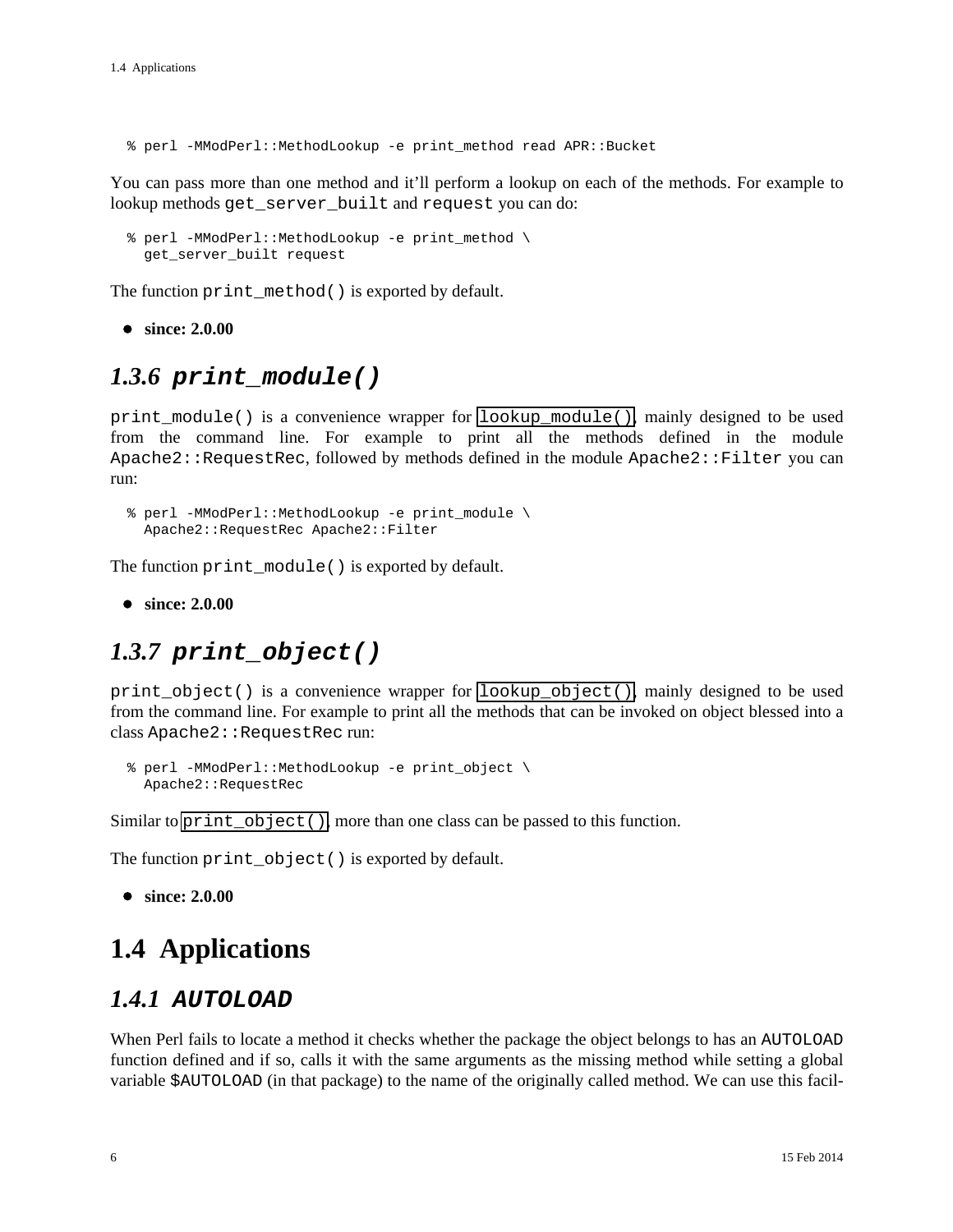% perl -MModPerl::MethodLookup -e print\_method read APR::Bucket

You can pass more than one method and it'll perform a lookup on each of the methods. For example to lookup methods get\_server\_built and request you can do:

```
 % perl -MModPerl::MethodLookup -e print_method \
  get_server_built request
```
The function print\_method() is exported by default.

**since: 2.0.00**

### <span id="page-5-0"></span>*1.3.6* **print\_module()**

print\_module() is a convenience wrapper for lookup\_module(), mainly designed to be used from the command line. For example to print all the methods defined in the module Apache2::RequestRec, followed by methods defined in the module Apache2::Filter you can run:

```
 % perl -MModPerl::MethodLookup -e print_module \
  Apache2::RequestRec Apache2::Filter
```
The function print module() is exported by default.

**since: 2.0.00**

### <span id="page-5-1"></span>*1.3.7* **print\_object()**

print\_object() is a convenience wrapper for lookup\_object(), mainly designed to be used from the command line. For example to print all the methods that can be invoked on object blessed into a class Apache2:: RequestRec run:

```
 % perl -MModPerl::MethodLookup -e print_object \
  Apache2::RequestRec
```
Similar to print\_object(), more than one class can be passed to this function.

The function print\_object() is exported by default.

```
since: 2.0.00
```
## <span id="page-5-2"></span>**1.4 Applications**

### <span id="page-5-3"></span>*1.4.1* **AUTOLOAD**

When Perl fails to locate a method it checks whether the package the object belongs to has an AUTOLOAD function defined and if so, calls it with the same arguments as the missing method while setting a global variable \$AUTOLOAD (in that package) to the name of the originally called method. We can use this facil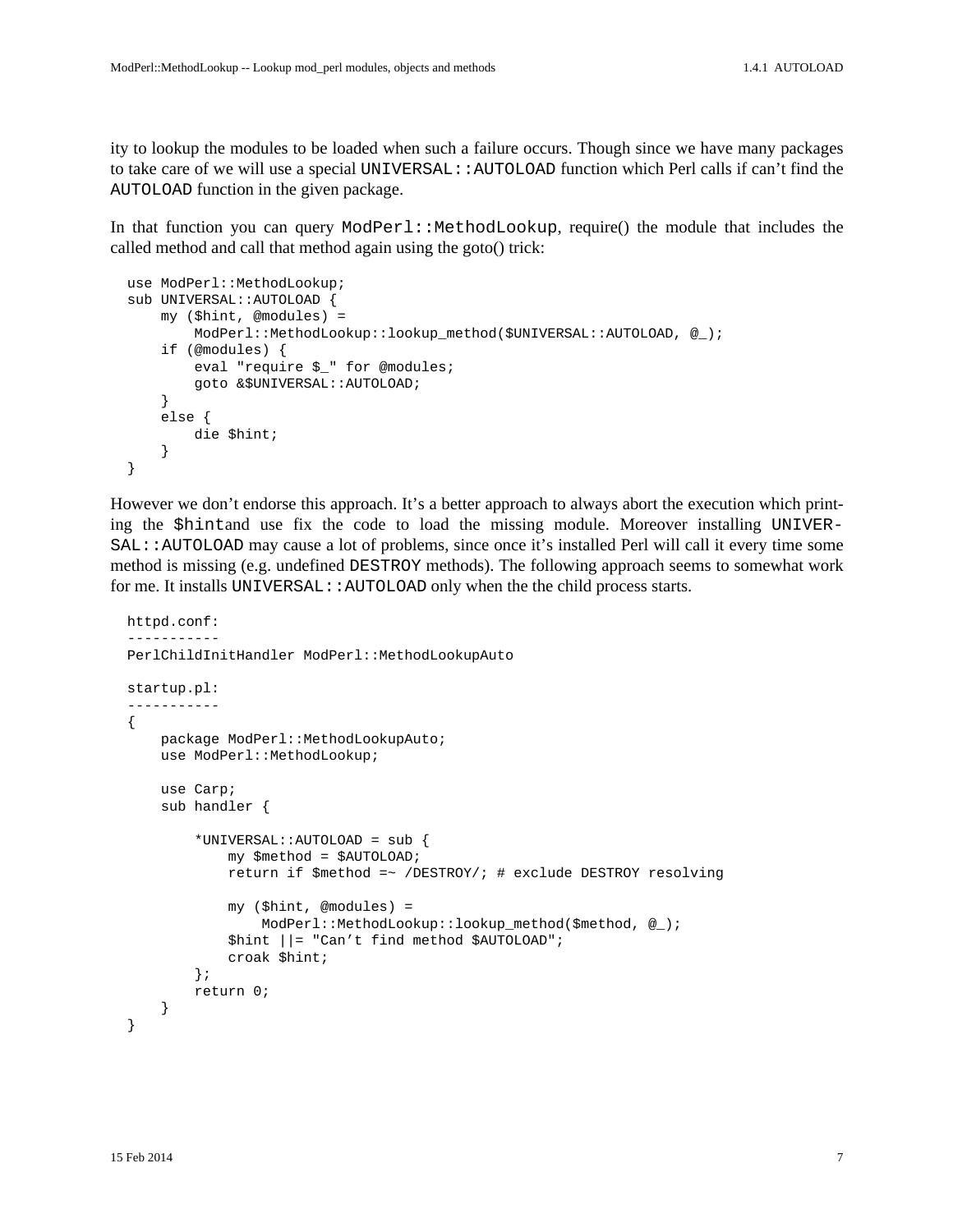ity to lookup the modules to be loaded when such a failure occurs. Though since we have many packages to take care of we will use a special UNIVERSAL::AUTOLOAD function which Perl calls if can't find the AUTOLOAD function in the given package.

In that function you can query  $ModPer1:ModLookup$ , require() the module that includes the called method and call that method again using the goto() trick:

```
use ModPerl::MethodLookup;
 sub UNIVERSAL::AUTOLOAD {
     my ($hint, @modules) =
         ModPerl::MethodLookup::lookup_method($UNIVERSAL::AUTOLOAD, @_);
     if (@modules) {
         eval "require $_" for @modules;
         goto &$UNIVERSAL::AUTOLOAD;
     }
     else {
         die $hint;
     }
 }
```
However we don't endorse this approach. It's a better approach to always abort the execution which printing the \$hintand use fix the code to load the missing module. Moreover installing UNIVER-SAL::AUTOLOAD may cause a lot of problems, since once it's installed Perl will call it every time some method is missing (e.g. undefined DESTROY methods). The following approach seems to somewhat work for me. It installs UNIVERSAL::AUTOLOAD only when the the child process starts.

```
 httpd.conf:
 -----------
PerlChildInitHandler ModPerl::MethodLookupAuto
 startup.pl:
 -----------
 {
    package ModPerl::MethodLookupAuto;
    use ModPerl::MethodLookup;
     use Carp;
     sub handler {
         *UNIVERSAL::AUTOLOAD = sub {
             my $method = $AUTOLOAD;
             return if $method =~ /DESTROY/; # exclude DESTROY resolving
              my ($hint, @modules) =
                  ModPerl::MethodLookup::lookup_method($method, @_);
              $hint ||= "Can't find method $AUTOLOAD";
             croak $hint;
         };
         return 0;
     }
 }
```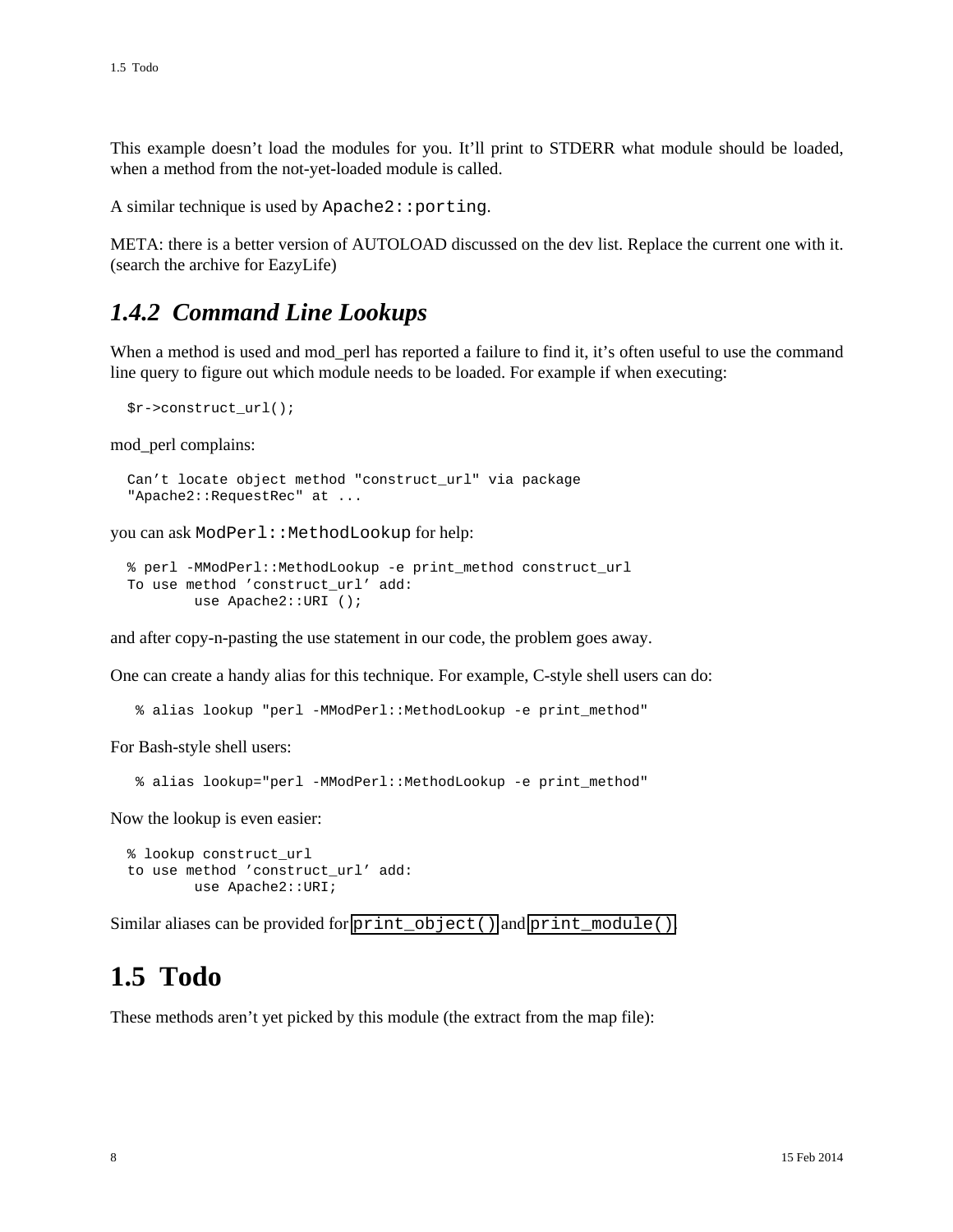This example doesn't load the modules for you. It'll print to STDERR what module should be loaded, when a method from the not-yet-loaded module is called.

A similar technique is used by Apache2::porting.

META: there is a better version of AUTOLOAD discussed on the dev list. Replace the current one with it. (search the archive for EazyLife)

### <span id="page-7-0"></span>*1.4.2 Command Line Lookups*

When a method is used and mod perl has reported a failure to find it, it's often useful to use the command line query to figure out which module needs to be loaded. For example if when executing:

```
 $r->construct_url();
```
mod\_perl complains:

```
 Can't locate object method "construct_url" via package
 "Apache2::RequestRec" at ...
```
you can ask ModPerl::MethodLookup for help:

```
 % perl -MModPerl::MethodLookup -e print_method construct_url
 To use method 'construct_url' add:
        use Apache2::URI ();
```
and after copy-n-pasting the use statement in our code, the problem goes away.

One can create a handy alias for this technique. For example, C-style shell users can do:

% alias lookup "perl -MModPerl::MethodLookup -e print\_method"

For Bash-style shell users:

```
 % alias lookup="perl -MModPerl::MethodLookup -e print_method"
```
Now the lookup is even easier:

```
 % lookup construct_url
 to use method 'construct_url' add:
         use Apache2::URI;
```
Similar aliases can be provided for print\_object() and print\_module().

## <span id="page-7-1"></span>**1.5 Todo**

These methods aren't yet picked by this module (the extract from the map file):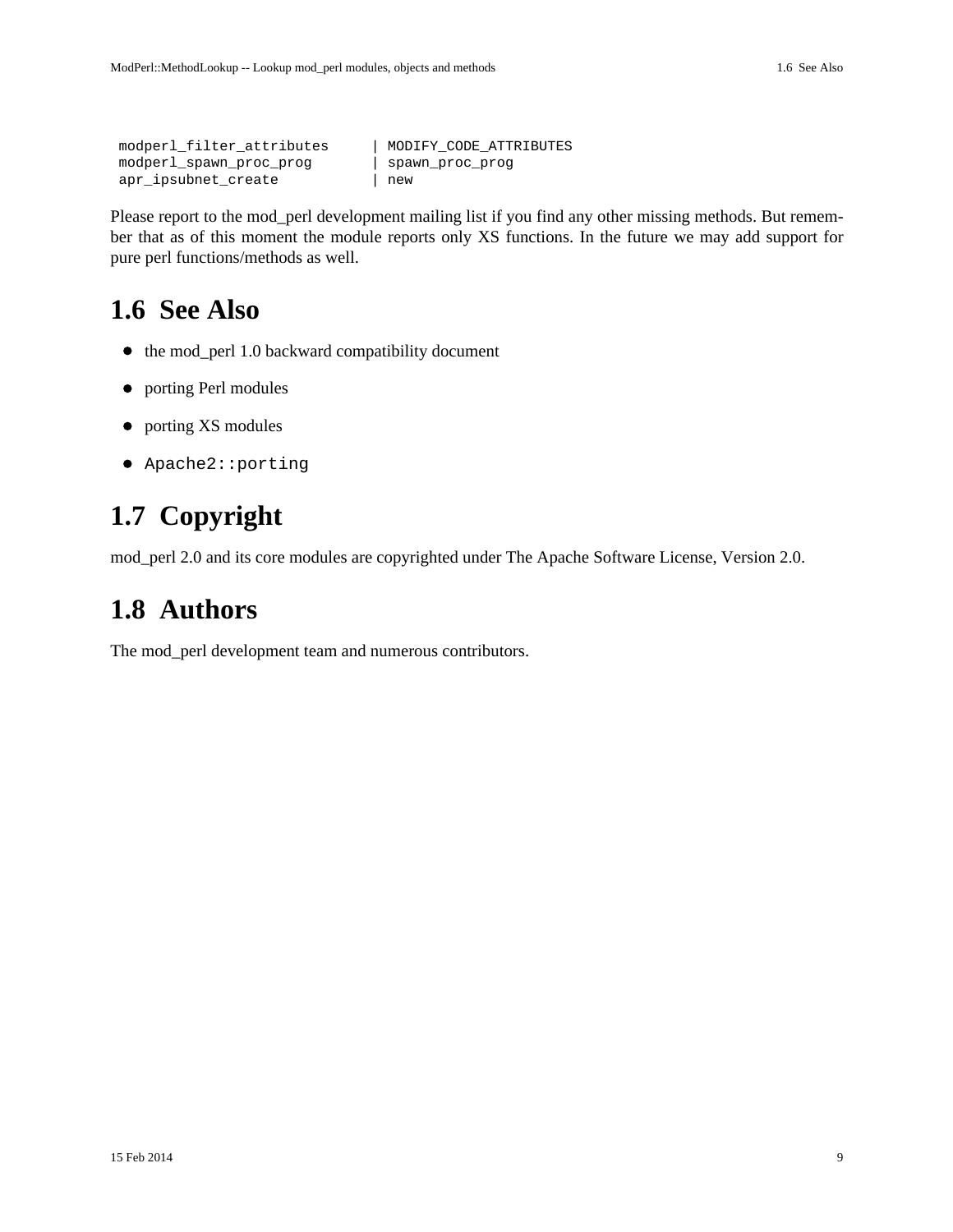```
 modperl_filter_attributes | MODIFY_CODE_ATTRIBUTES
 modperl_spawn_proc_prog | spawn_proc_prog
apr_ipsubnet_create | new
```
Please report to the mod\_perl development mailing list if you find any other missing methods. But remember that as of this moment the module reports only XS functions. In the future we may add support for pure perl functions/methods as well.

## <span id="page-8-0"></span>**1.6 See Also**

- the mod\_perl 1.0 backward compatibility document
- porting Perl modules
- porting XS modules
- Apache2::porting

## <span id="page-8-1"></span>**1.7 Copyright**

mod\_perl 2.0 and its core modules are copyrighted under The Apache Software License, Version 2.0.

## <span id="page-8-2"></span>**1.8 Authors**

The mod\_perl development team and numerous contributors.